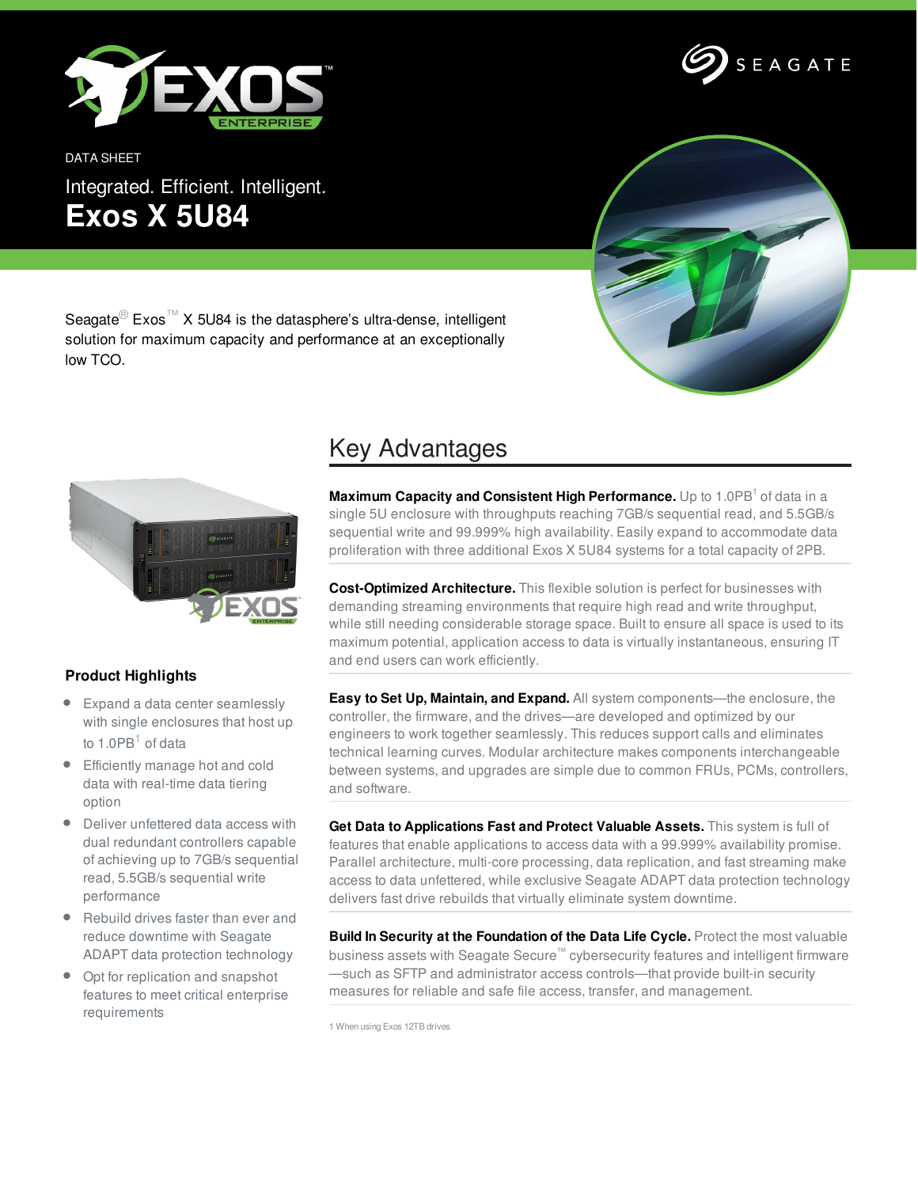

DATA SHEET Integrated. Efficient. Intelligent. **Exos X 5U84**





Seagate<sup>®</sup> Exos<sup>™</sup> X 5U84 is the datasphere's ultra-dense, intelligent solution for maximum capacity and performance at an exceptionally low TCO.



## **Product Highlights**

- Expand a data center seamlessly with single enclosures that host up to 1.0PB $<sup>1</sup>$  of data</sup>
- Efficiently manage hot and cold data with real-time data tiering option
- Deliver unfettered data access with dual redundant controllers capable of achieving up to 7GB/s sequential read, 5.5GB/s sequential write performance
- Rebuild drives faster than ever and reduce downtime with Seagate ADAPT data protection technology
- Opt for replication and snapshot features to meet critical enterprise requirements

## Key Advantages

**Maximum Capacity and Consistent High Performance.** Up to 1.0PB <sup>1</sup> of data in a single 5U enclosure with throughputs reaching 7GB/s sequential read, and 5.5GB/s sequential write and 99.999% high availability. Easily expand to accommodate data proliferation with three additional Exos X 5U84 systems for a total capacity of 2PB.

**Cost-Optimized Architecture.** This flexible solution is perfect for businesses with demanding streaming environments that require high read and write throughput, while still needing considerable storage space. Built to ensure all space is used to its maximum potential, application access to data is virtually instantaneous, ensuring IT and end users can work efficiently.

**Easy to Set Up, Maintain, and Expand.** All system components—the enclosure, the controller, the firmware, and the drives—are developed and optimized by our engineers to work together seamlessly. This reduces support calls and eliminates technical learning curves. Modular architecture makes components interchangeable between systems, and upgrades are simple due to common FRUs, PCMs, controllers, and software.

**Get Data to Applications Fast and Protect Valuable Assets.** This system is full of features that enable applications to access data with a 99.999% availability promise. Parallel architecture, multi-core processing, data replication, and fast streaming make access to data unfettered, while exclusive Seagate ADAPT data protection technology delivers fast drive rebuilds that virtually eliminate system downtime.

**Build In Security at the Foundation of the Data Life Cycle.** Protect the most valuable business assets with Seagate Secure™ cybersecurity features and intelligent firmware —such as SFTP and administrator access controls—that provide built-in security measures for reliable and safe file access, transfer, and management.

1 When using Exos 12TB drives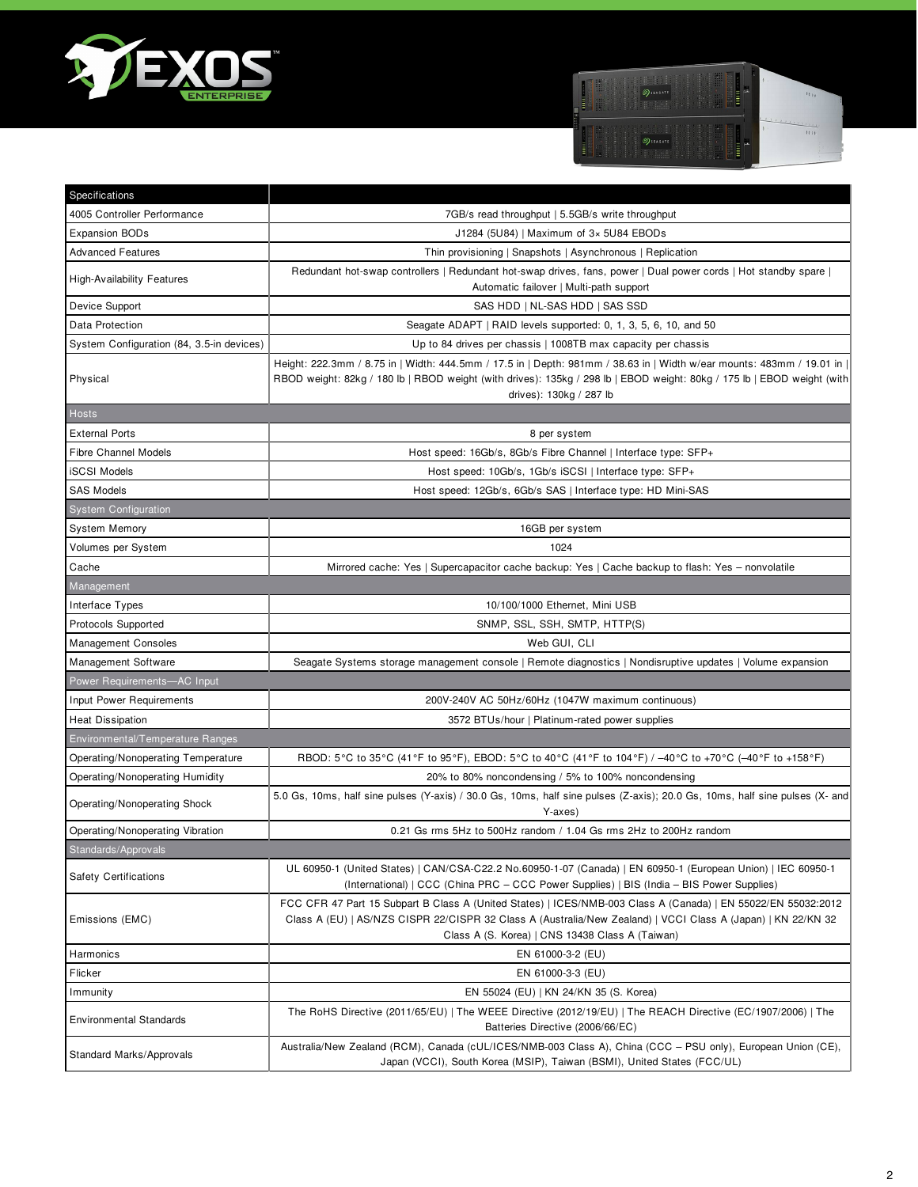



| Specifications                            |                                                                                                                                                                                                                                                                                  |
|-------------------------------------------|----------------------------------------------------------------------------------------------------------------------------------------------------------------------------------------------------------------------------------------------------------------------------------|
| 4005 Controller Performance               | 7GB/s read throughput   5.5GB/s write throughput                                                                                                                                                                                                                                 |
| <b>Expansion BODs</b>                     | J1284 (5U84)   Maximum of $3 \times 5$ U84 EBODs                                                                                                                                                                                                                                 |
| <b>Advanced Features</b>                  | Thin provisioning   Snapshots   Asynchronous   Replication                                                                                                                                                                                                                       |
| <b>High-Availability Features</b>         | Redundant hot-swap controllers   Redundant hot-swap drives, fans, power   Dual power cords   Hot standby spare  <br>Automatic failover   Multi-path support                                                                                                                      |
| Device Support                            | SAS HDD   NL-SAS HDD   SAS SSD                                                                                                                                                                                                                                                   |
| Data Protection                           | Seagate ADAPT   RAID levels supported: 0, 1, 3, 5, 6, 10, and 50                                                                                                                                                                                                                 |
| System Configuration (84, 3.5-in devices) | Up to 84 drives per chassis   1008TB max capacity per chassis                                                                                                                                                                                                                    |
| Physical                                  | Height: 222.3mm / 8.75 in   Width: 444.5mm / 17.5 in   Depth: 981mm / 38.63 in   Width w/ear mounts: 483mm / 19.01 in  <br>RBOD weight: 82kg / 180 lb   RBOD weight (with drives): 135kg / 298 lb   EBOD weight: 80kg / 175 lb   EBOD weight (with<br>drives): 130kg / 287 lb    |
| Hosts                                     |                                                                                                                                                                                                                                                                                  |
| <b>External Ports</b>                     | 8 per system                                                                                                                                                                                                                                                                     |
| <b>Fibre Channel Models</b>               | Host speed: 16Gb/s, 8Gb/s Fibre Channel   Interface type: SFP+                                                                                                                                                                                                                   |
| <b>iSCSI Models</b>                       | Host speed: 10Gb/s, 1Gb/s iSCSI   Interface type: SFP+                                                                                                                                                                                                                           |
| <b>SAS Models</b>                         | Host speed: 12Gb/s, 6Gb/s SAS   Interface type: HD Mini-SAS                                                                                                                                                                                                                      |
| <b>System Configuration</b>               |                                                                                                                                                                                                                                                                                  |
| <b>System Memory</b>                      | 16GB per system                                                                                                                                                                                                                                                                  |
| Volumes per System                        | 1024                                                                                                                                                                                                                                                                             |
| Cache                                     | Mirrored cache: Yes   Supercapacitor cache backup: Yes   Cache backup to flash: Yes - nonvolatile                                                                                                                                                                                |
| Management                                |                                                                                                                                                                                                                                                                                  |
| Interface Types                           | 10/100/1000 Ethernet, Mini USB                                                                                                                                                                                                                                                   |
| Protocols Supported                       | SNMP, SSL, SSH, SMTP, HTTP(S)                                                                                                                                                                                                                                                    |
| <b>Management Consoles</b>                | Web GUI, CLI                                                                                                                                                                                                                                                                     |
| Management Software                       | Seagate Systems storage management console   Remote diagnostics   Nondisruptive updates   Volume expansion                                                                                                                                                                       |
| Power Requirements-AC Input               |                                                                                                                                                                                                                                                                                  |
| <b>Input Power Requirements</b>           | 200V-240V AC 50Hz/60Hz (1047W maximum continuous)                                                                                                                                                                                                                                |
| <b>Heat Dissipation</b>                   | 3572 BTUs/hour   Platinum-rated power supplies                                                                                                                                                                                                                                   |
| Environmental/Temperature Ranges          |                                                                                                                                                                                                                                                                                  |
| Operating/Nonoperating Temperature        | RBOD: 5°C to 35°C (41°F to 95°F), EBOD: 5°C to 40°C (41°F to 104°F) / -40°C to +70°C (-40°F to +158°F)                                                                                                                                                                           |
| Operating/Nonoperating Humidity           | 20% to 80% noncondensing / 5% to 100% noncondensing                                                                                                                                                                                                                              |
| Operating/Nonoperating Shock              | 5.0 Gs, 10ms, half sine pulses (Y-axis) / 30.0 Gs, 10ms, half sine pulses (Z-axis); 20.0 Gs, 10ms, half sine pulses (X- and<br>Y-axes)                                                                                                                                           |
| Operating/Nonoperating Vibration          | 0.21 Gs rms 5Hz to 500Hz random / 1.04 Gs rms 2Hz to 200Hz random                                                                                                                                                                                                                |
| Standards/Approvals                       |                                                                                                                                                                                                                                                                                  |
| <b>Safety Certifications</b>              | UL 60950-1 (United States)   CAN/CSA-C22.2 No.60950-1-07 (Canada)   EN 60950-1 (European Union)   IEC 60950-1<br>(International)   CCC (China PRC - CCC Power Supplies)   BIS (India - BIS Power Supplies)                                                                       |
| Emissions (EMC)                           | FCC CFR 47 Part 15 Subpart B Class A (United States)   ICES/NMB-003 Class A (Canada)   EN 55022/EN 55032:2012<br>Class A (EU)   AS/NZS CISPR 22/CISPR 32 Class A (Australia/New Zealand)   VCCI Class A (Japan)   KN 22/KN 32<br>Class A (S. Korea)   CNS 13438 Class A (Taiwan) |
| Harmonics                                 | EN 61000-3-2 (EU)                                                                                                                                                                                                                                                                |
| Flicker                                   | EN 61000-3-3 (EU)                                                                                                                                                                                                                                                                |
| Immunity                                  | EN 55024 (EU)   KN 24/KN 35 (S. Korea)                                                                                                                                                                                                                                           |
| <b>Environmental Standards</b>            | The RoHS Directive (2011/65/EU)   The WEEE Directive (2012/19/EU)   The REACH Directive (EC/1907/2006)   The<br>Batteries Directive (2006/66/EC)                                                                                                                                 |
| Standard Marks/Approvals                  | Australia/New Zealand (RCM), Canada (cUL/ICES/NMB-003 Class A), China (CCC – PSU only), European Union (CE),<br>Japan (VCCI), South Korea (MSIP), Taiwan (BSMI), United States (FCC/UL)                                                                                          |